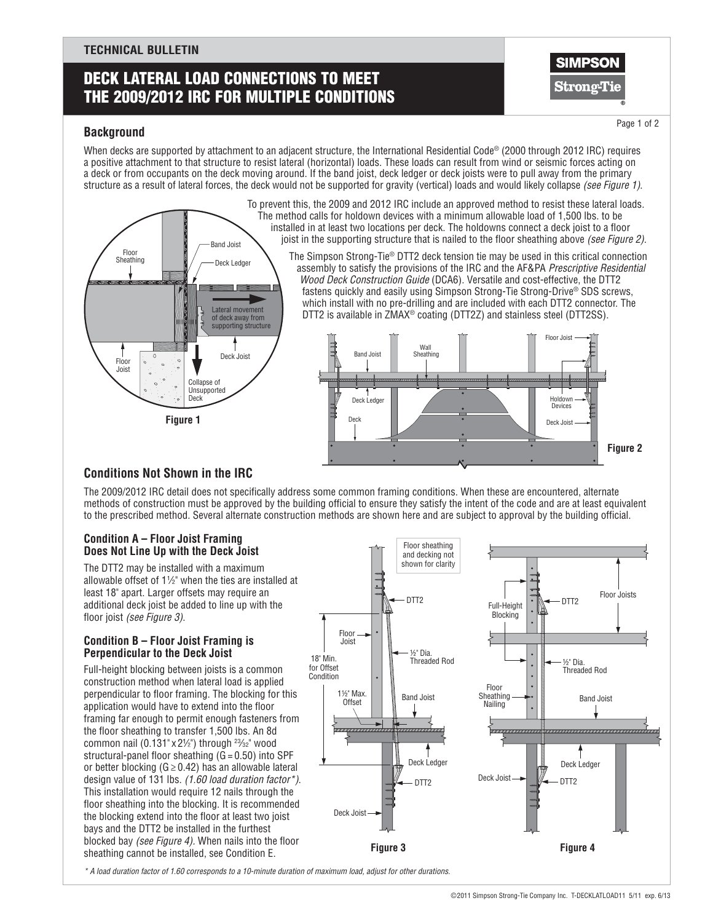## **TECHNICAL BULLETIN**

# Deck Lateral Load Connections To Meet the 2009/2012 IRC for Multiple Conditions



Page 1 of 2

## **Background**

When decks are supported by attachment to an adiacent structure, the International Residential Code® (2000 through 2012 IRC) requires a positive attachment to that structure to resist lateral (horizontal) loads. These loads can result from wind or seismic forces acting on a deck or from occupants on the deck moving around. If the band joist, deck ledger or deck joists were to pull away from the primary structure as a result of lateral forces, the deck would not be supported for gravity (vertical) loads and would likely collapse *(see Figure 1)*.



To prevent this, the 2009 and 2012 IRC include an approved method to resist these lateral loads. The method calls for holdown devices with a minimum allowable load of 1,500 lbs. to be installed in at least two locations per deck. The holdowns connect a deck joist to a floor joist in the supporting structure that is nailed to the floor sheathing above *(see Figure 2)*. The Simpson Strong-Tie® DTT2 deck tension tie may be used in this critical connection

 assembly to satisfy the provisions of the IRC and the AF&PA *Prescriptive Residential Wood Deck Construction Guide* (DCA6). Versatile and cost-effective, the DTT2 fastens quickly and easily using Simpson Strong-Tie Strong-Drive® SDS screws, which install with no pre-drilling and are included with each DTT2 connector. The DTT2 is available in ZMAX® coating (DTT2Z) and stainless steel (DTT2SS).



## **Conditions Not Shown in the IRC**

The 2009/2012 IRC detail does not specifically address some common framing conditions. When these are encountered, alternate methods of construction must be approved by the building official to ensure they satisfy the intent of the code and are at least equivalent to the prescribed method. Several alternate construction methods are shown here and are subject to approval by the building official.

## **Condition A – Floor Joist Framing Does Not Line Up with the Deck Joist**

The DTT2 may be installed with a maximum allowable offset of 1 $\frac{1}{2}$ " when the ties are installed at least 18" apart. Larger offsets may require an additional deck joist be added to line up with the floor joist *(see Figure 3)*.

## **Condition B – Floor Joist Framing is Perpendicular to the Deck Joist**

Full-height blocking between joists is a common construction method when lateral load is applied perpendicular to floor framing. The blocking for this application would have to extend into the floor framing far enough to permit enough fasteners from the floor sheathing to transfer 1,500 lbs. An 8d common nail (0.131" x 21⁄2") through  $2\frac{3}{32}$ " wood structural-panel floor sheathing  $(G = 0.50)$  into SPF or better blocking ( $G \ge 0.42$ ) has an allowable lateral design value of 131 lbs. *(1.60 load duration factor\*)*. This installation would require 12 nails through the floor sheathing into the blocking. It is recommended the blocking extend into the floor at least two joist bays and the DTT2 be installed in the furthest blocked bay *(see Figure 4).* When nails into the floor sheathing cannot be installed, see Condition E.



*\* A load duration factor of 1.60 corresponds to a 10-minute duration of maximum load, adjust for other durations.*